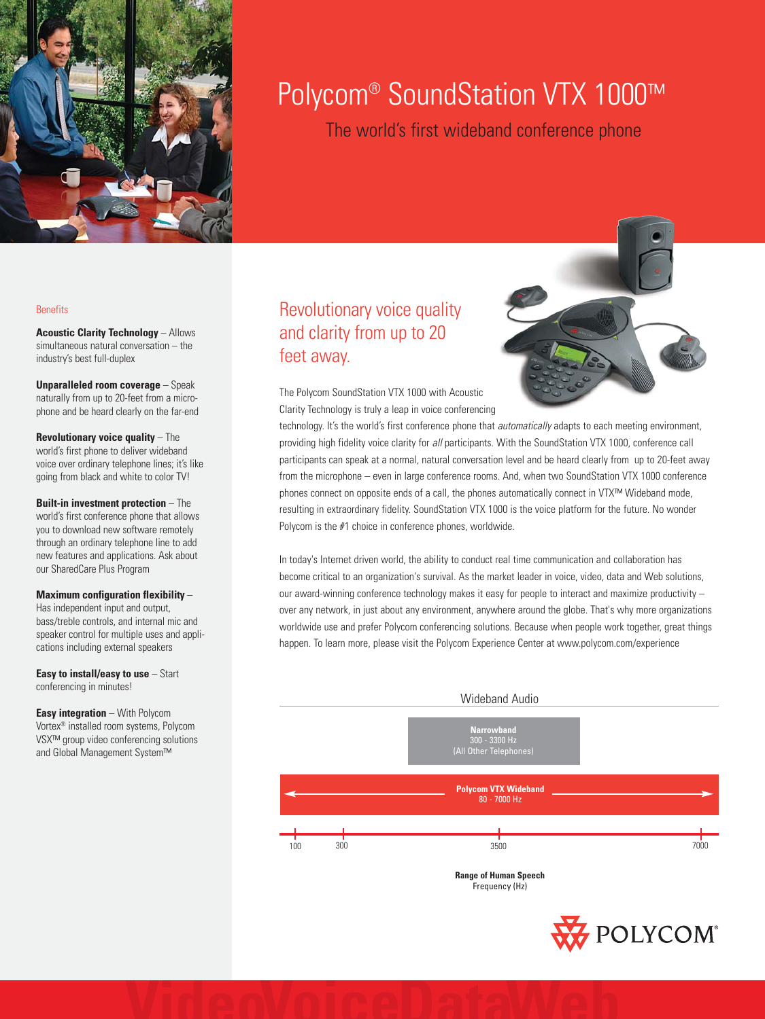

# Polycom<sup>®</sup> SoundStation VTX 1000™

The world's first wideband conference phone

#### **Benefits**

**Acoustic Clarity Technology** – Allows simultaneous natural conversation – the industry's best full-duplex

**Unparalleled room coverage** – Speak naturally from up to 20-feet from a microphone and be heard clearly on the far-end

**Revolutionary voice quality** – The world's first phone to deliver wideband voice over ordinary telephone lines; it's like going from black and white to color TV!

**Built-in investment protection** – The world's first conference phone that allows you to download new software remotely through an ordinary telephone line to add new features and applications. Ask about our SharedCare Plus Program

## **Maximum configuration flexibility** –

Has independent input and output, bass/treble controls, and internal mic and speaker control for multiple uses and applications including external speakers

**Easy to install/easy to use** – Start conferencing in minutes!

**Easy integration** – With Polycom Vortex® installed room systems, Polycom VSX™ group video conferencing solutions and Global Management System™

## Revolutionary voice quality and clarity from up to 20 feet away.

The Polycom SoundStation VTX 1000 with Acoustic Clarity Technology is truly a leap in voice conferencing



technology. It's the world's first conference phone that *automatically* adapts to each meeting environment, providing high fidelity voice clarity for all participants. With the SoundStation VTX 1000, conference call participants can speak at a normal, natural conversation level and be heard clearly from up to 20-feet away from the microphone – even in large conference rooms. And, when two SoundStation VTX 1000 conference phones connect on opposite ends of a call, the phones automatically connect in VTX™ Wideband mode, resulting in extraordinary fidelity. SoundStation VTX 1000 is the voice platform for the future. No wonder Polycom is the #1 choice in conference phones, worldwide.

In today's Internet driven world, the ability to conduct real time communication and collaboration has become critical to an organization's survival. As the market leader in voice, video, data and Web solutions, our award-winning conference technology makes it easy for people to interact and maximize productivity – over any network, in just about any environment, anywhere around the globe. That's why more organizations worldwide use and prefer Polycom conferencing solutions. Because when people work together, great things happen. To learn more, please visit the Polycom Experience Center at www.polycom.com/experience



**Range of Human Speech** Frequency (Hz)